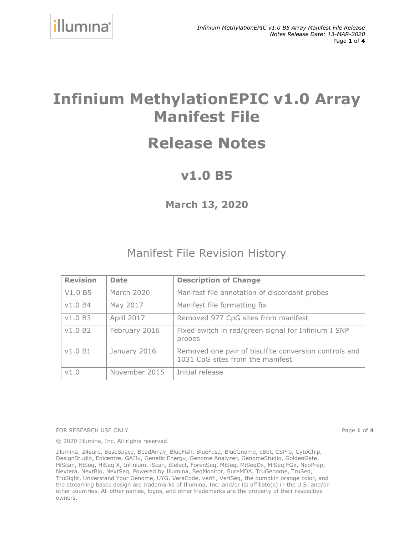### **Infinium MethylationEPIC v1.0 Array Manifest File**

### **Release Notes**

### **v1.0 B5**

**March 13, 2020**

### Manifest File Revision History

| <b>Revision</b> | <b>Date</b>       | <b>Description of Change</b>                                                              |
|-----------------|-------------------|-------------------------------------------------------------------------------------------|
| V1.0 B5         | March 2020        | Manifest file annotation of discordant probes                                             |
| v1.0 B4         | May 2017          | Manifest file formatting fix                                                              |
| v1.0 B3         | <b>April 2017</b> | Removed 977 CpG sites from manifest                                                       |
| v1.0 B2         | February 2016     | Fixed switch in red/green signal for Infinium I SNP<br>probes                             |
| V1.0B1          | January 2016      | Removed one pair of bisulfite conversion controls and<br>1031 CpG sites from the manifest |
| v1.0            | November 2015     | Initial release                                                                           |

FOR RESEARCH USE ONLY

Page **1** of **4**

© 2020 Illumina, Inc. All rights reserved.

Illumina, 24sure, BaseSpace, BeadArray, BlueFish, BlueFuse, BlueGnome, cBot, CSPro, CytoChip, DesignStudio, Epicentre, GAIIx, Genetic Energy, Genome Analyzer, GenomeStudio, GoldenGate, HiScan, HiSeq, HiSeq X, Infinium, iScan, iSelect, ForenSeq, MiSeq, MiSeqDx, MiSeq FGx, NeoPrep, Nextera, NextBio, NextSeq, Powered by Illumina, SeqMonitor, SureMDA, TruGenome, TruSeq, TruSight, Understand Your Genome, UYG, VeraCode, verifi, VeriSeq, the pumpkin orange color, and the streaming bases design are trademarks of Illumina, Inc. and/or its affiliate(s) in the U.S. and/or other countries. All other names, logos, and other trademarks are the property of their respective owners.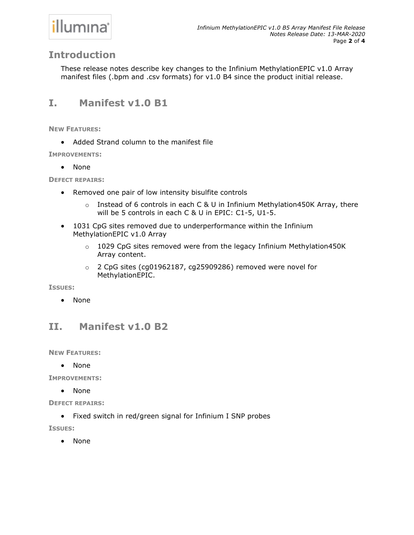### illumına<sup>®</sup>

#### **Introduction**

These release notes describe key changes to the Infinium MethylationEPIC v1.0 Array manifest files (.bpm and .csv formats) for v1.0 B4 since the product initial release.

#### **I. Manifest v1.0 B1**

**NEW FEATURES:**

• Added Strand column to the manifest file

**IMPROVEMENTS:**

• None

**DEFECT REPAIRS:**

- Removed one pair of low intensity bisulfite controls
	- $\circ$  Instead of 6 controls in each C & U in Infinium Methylation450K Array, there will be 5 controls in each C & U in EPIC: C1-5, U1-5.
- 1031 CpG sites removed due to underperformance within the Infinium MethylationEPIC v1.0 Array
	- $\circ$  1029 CpG sites removed were from the legacy Infinium Methylation450K Array content.
	- o 2 CpG sites (cg01962187, cg25909286) removed were novel for MethylationEPIC.

**ISSUES:**

• None

#### **II. Manifest v1.0 B2**

**NEW FEATURES:**

• None

**IMPROVEMENTS:**

• None

**DEFECT REPAIRS:**

• Fixed switch in red/green signal for Infinium I SNP probes

**ISSUES:**

• None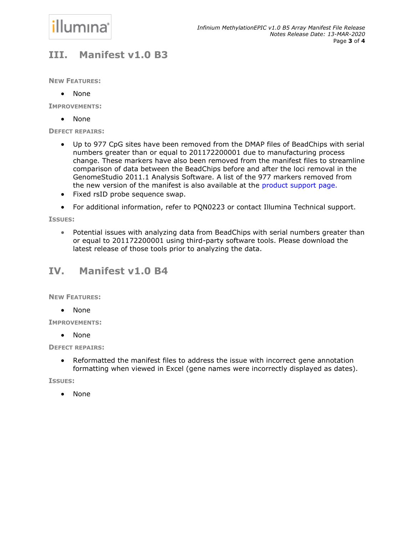# illumına<sup>®</sup>

### **III. Manifest v1.0 B3**

**NEW FEATURES:**

• None

**IMPROVEMENTS:**

• None

**DEFECT REPAIRS:**

- Up to 977 CpG sites have been removed from the DMAP files of BeadChips with serial numbers greater than or equal to 201172200001 due to manufacturing process change. These markers have also been removed from the manifest files to streamline comparison of data between the BeadChips before and after the loci removal in the GenomeStudio 2011.1 Analysis Software. A list of the 977 markers removed from the new version of the manifest is also available at the product support page.
- Fixed rsID probe sequence swap.
- For additional information, refer to PQN0223 or contact Illumina Technical support.

#### **ISSUES:**

• Potential issues with analyzing data from BeadChips with serial numbers greater than or equal to 201172200001 using third-party software tools. Please download the latest release of those tools prior to analyzing the data.

#### **IV. Manifest v1.0 B4**

**NEW FEATURES:**

• None

**IMPROVEMENTS:**

• None

**DEFECT REPAIRS:**

• Reformatted the manifest files to address the issue with incorrect gene annotation formatting when viewed in Excel (gene names were incorrectly displayed as dates).

**ISSUES:**

• None